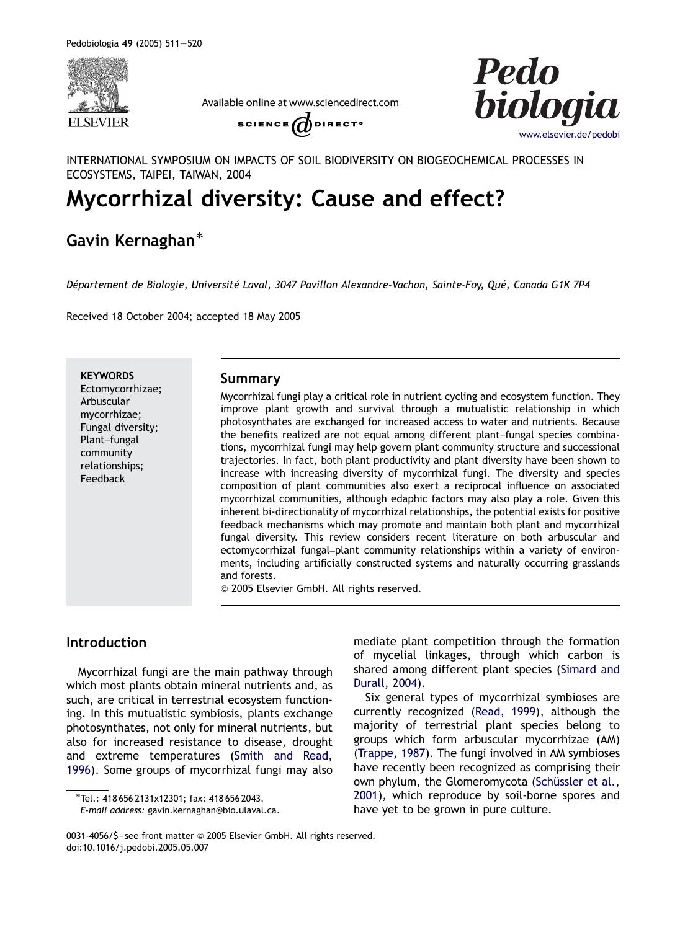

Available online at www.sciencedirect.com





INTERNATIONAL SYMPOSIUM ON IMPACTS OF SOIL BIODIVERSITY ON BIOGEOCHEMICAL PROCESSES IN ECOSYSTEMS, TAIPEI, TAIWAN, 2004

# Mycorrhizal diversity: Cause and effect?

## Gavin Kernaghan

Département de Biologie, Université Laval, 3047 Pavillon Alexandre-Vachon, Sainte-Foy, Qué, Canada G1K 7P4

Received 18 October 2004; accepted 18 May 2005

**KEYWORDS** Ectomycorrhizae; Arbuscular mycorrhizae; Fungal diversity; Plant–fungal community relationships; Feedback

## Summary

Mycorrhizal fungi play a critical role in nutrient cycling and ecosystem function. They improve plant growth and survival through a mutualistic relationship in which photosynthates are exchanged for increased access to water and nutrients. Because the benefits realized are not equal among different plant–fungal species combinations, mycorrhizal fungi may help govern plant community structure and successional trajectories. In fact, both plant productivity and plant diversity have been shown to increase with increasing diversity of mycorrhizal fungi. The diversity and species composition of plant communities also exert a reciprocal influence on associated mycorrhizal communities, although edaphic factors may also play a role. Given this inherent bi-directionality of mycorrhizal relationships, the potential exists for positive feedback mechanisms which may promote and maintain both plant and mycorrhizal fungal diversity. This review considers recent literature on both arbuscular and ectomycorrhizal fungal–plant community relationships within a variety of environments, including artificially constructed systems and naturally occurring grasslands and forests.

 $©$  2005 Elsevier GmbH. All rights reserved.

## Introduction

Mycorrhizal fungi are the main pathway through which most plants obtain mineral nutrients and, as such, are critical in terrestrial ecosystem functioning. In this mutualistic symbiosis, plants exchange photosynthates, not only for mineral nutrients, but also for increased resistance to disease, drought and extreme temperatures ([Smith and Read,](#page-9-0) [1996](#page-9-0)). Some groups of mycorrhizal fungi may also

mediate plant competition through the formation of mycelial linkages, through which carbon is shared among different plant species [\(Simard and](#page-9-0) [Durall, 2004\)](#page-9-0).

Six general types of mycorrhizal symbioses are currently recognized [\(Read, 1999](#page-8-0)), although the majority of terrestrial plant species belong to groups which form arbuscular mycorrhizae (AM) [\(Trappe, 1987\)](#page-9-0). The fungi involved in AM symbioses have recently been recognized as comprising their own phylum, the Glomeromycota (Schüssler et al., [2001\)](#page-8-0), which reproduce by soil-borne spores and have yet to be grown in pure culture.

Tel.: 418 656 2131x12301; fax: 418 656 2043.

E-mail address: gavin.kernaghan@bio.ulaval.ca.

<sup>0031-4056/\$ -</sup> see front matter @ 2005 Elsevier GmbH. All rights reserved. doi:10.1016/j.pedobi.2005.05.007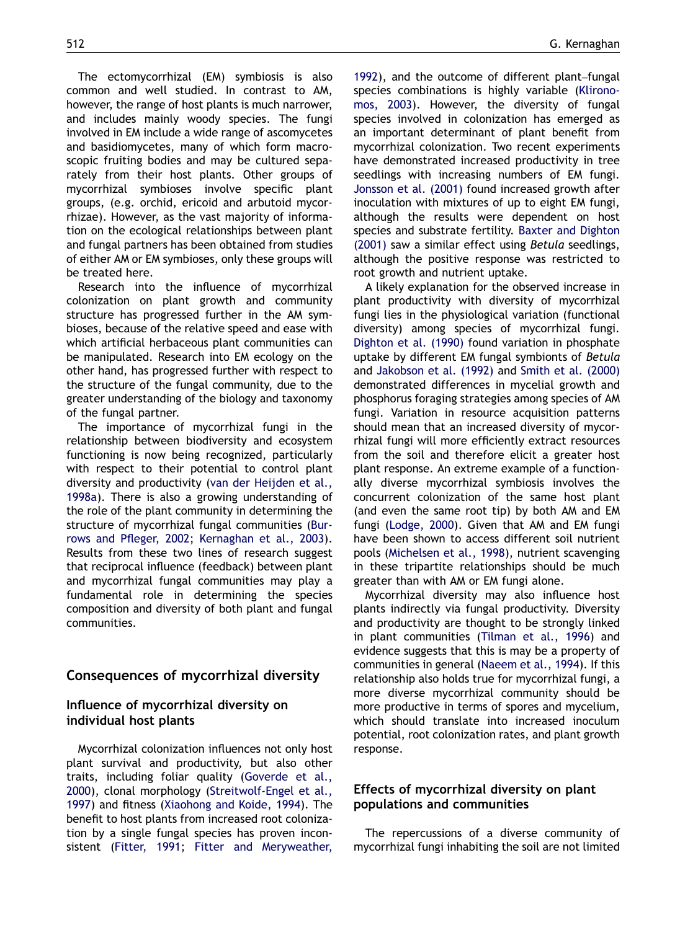The ectomycorrhizal (EM) symbiosis is also common and well studied. In contrast to AM, however, the range of host plants is much narrower, and includes mainly woody species. The fungi involved in EM include a wide range of ascomycetes and basidiomycetes, many of which form macroscopic fruiting bodies and may be cultured separately from their host plants. Other groups of mycorrhizal symbioses involve specific plant groups, (e.g. orchid, ericoid and arbutoid mycorrhizae). However, as the vast majority of information on the ecological relationships between plant and fungal partners has been obtained from studies of either AM or EM symbioses, only these groups will be treated here.

Research into the influence of mycorrhizal colonization on plant growth and community structure has progressed further in the AM symbioses, because of the relative speed and ease with which artificial herbaceous plant communities can be manipulated. Research into EM ecology on the other hand, has progressed further with respect to the structure of the fungal community, due to the greater understanding of the biology and taxonomy of the fungal partner.

The importance of mycorrhizal fungi in the relationship between biodiversity and ecosystem functioning is now being recognized, particularly with respect to their potential to control plant diversity and productivity [\(van der Heijden et al.,](#page-9-0) [1998a\)](#page-9-0). There is also a growing understanding of the role of the plant community in determining the structure of mycorrhizal fungal communities [\(Bur](#page-6-0)[rows and Pfleger, 2002;](#page-6-0) [Kernaghan et al., 2003\)](#page-8-0). Results from these two lines of research suggest that reciprocal influence (feedback) between plant and mycorrhizal fungal communities may play a fundamental role in determining the species composition and diversity of both plant and fungal communities.

## Consequences of mycorrhizal diversity

## Influence of mycorrhizal diversity on individual host plants

Mycorrhizal colonization influences not only host plant survival and productivity, but also other traits, including foliar quality ([Goverde et al.,](#page-7-0) [2000](#page-7-0)), clonal morphology [\(Streitwolf-Engel et al.,](#page-9-0) [1997](#page-9-0)) and fitness [\(Xiaohong and Koide, 1994](#page-9-0)). The benefit to host plants from increased root colonization by a single fungal species has proven inconsistent ([Fitter, 1991](#page-7-0); [Fitter and Meryweather,](#page-7-0)

[1992\)](#page-7-0), and the outcome of different plant–fungal species combinations is highly variable ([Klirono](#page-8-0)[mos, 2003\)](#page-8-0). However, the diversity of fungal species involved in colonization has emerged as an important determinant of plant benefit from mycorrhizal colonization. Two recent experiments have demonstrated increased productivity in tree seedlings with increasing numbers of EM fungi. [Jonsson et al. \(2001\)](#page-7-0) found increased growth after inoculation with mixtures of up to eight EM fungi, although the results were dependent on host species and substrate fertility. [Baxter and Dighton](#page-6-0) [\(2001\)](#page-6-0) saw a similar effect using Betula seedlings, although the positive response was restricted to root growth and nutrient uptake.

A likely explanation for the observed increase in plant productivity with diversity of mycorrhizal fungi lies in the physiological variation (functional diversity) among species of mycorrhizal fungi. [Dighton et al. \(1990\)](#page-6-0) found variation in phosphate uptake by different EM fungal symbionts of Betula and [Jakobson et al. \(1992\)](#page-7-0) and [Smith et al. \(2000\)](#page-9-0) demonstrated differences in mycelial growth and phosphorus foraging strategies among species of AM fungi. Variation in resource acquisition patterns should mean that an increased diversity of mycorrhizal fungi will more efficiently extract resources from the soil and therefore elicit a greater host plant response. An extreme example of a functionally diverse mycorrhizal symbiosis involves the concurrent colonization of the same host plant (and even the same root tip) by both AM and EM fungi [\(Lodge, 2000](#page-8-0)). Given that AM and EM fungi have been shown to access different soil nutrient pools ([Michelsen et al., 1998\)](#page-8-0), nutrient scavenging in these tripartite relationships should be much greater than with AM or EM fungi alone.

Mycorrhizal diversity may also influence host plants indirectly via fungal productivity. Diversity and productivity are thought to be strongly linked in plant communities [\(Tilman et al., 1996](#page-9-0)) and evidence suggests that this is may be a property of communities in general ([Naeem et al., 1994](#page-8-0)). If this relationship also holds true for mycorrhizal fungi, a more diverse mycorrhizal community should be more productive in terms of spores and mycelium, which should translate into increased inoculum potential, root colonization rates, and plant growth response.

## Effects of mycorrhizal diversity on plant populations and communities

The repercussions of a diverse community of mycorrhizal fungi inhabiting the soil are not limited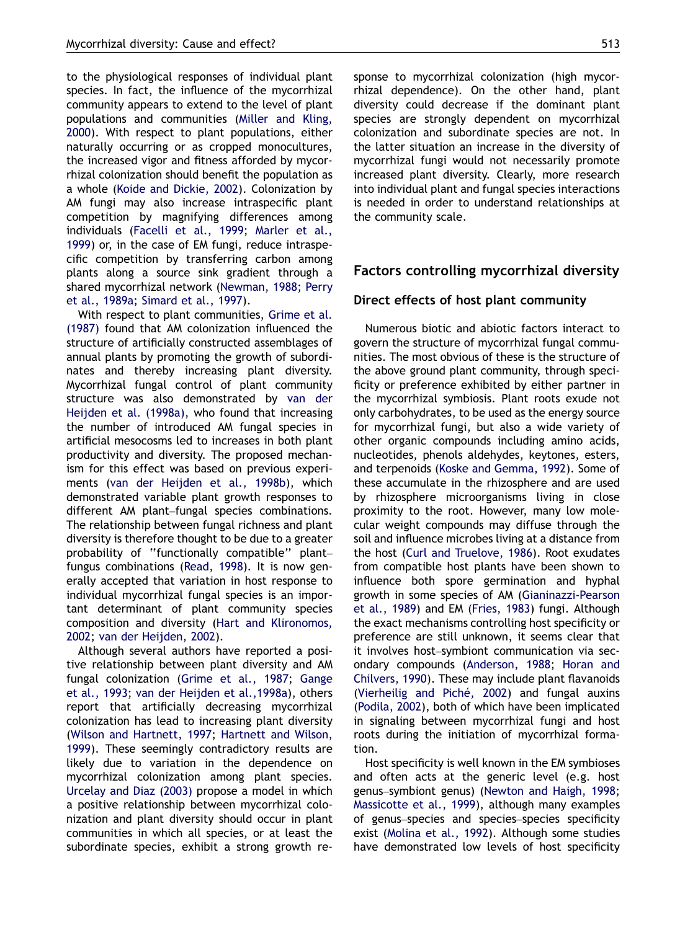to the physiological responses of individual plant species. In fact, the influence of the mycorrhizal community appears to extend to the level of plant populations and communities ([Miller and Kling,](#page-8-0) [2000](#page-8-0)). With respect to plant populations, either naturally occurring or as cropped monocultures, the increased vigor and fitness afforded by mycorrhizal colonization should benefit the population as a whole ([Koide and Dickie, 2002](#page-8-0)). Colonization by AM fungi may also increase intraspecific plant competition by magnifying differences among individuals ([Facelli et al., 1999](#page-6-0); [Marler et al.,](#page-8-0) [1999](#page-8-0)) or, in the case of EM fungi, reduce intraspecific competition by transferring carbon among plants along a source sink gradient through a shared mycorrhizal network ([Newman, 1988;](#page-8-0) [Perry](#page-8-0) [et al., 1989a](#page-8-0); [Simard et al., 1997\)](#page-9-0).

With respect to plant communities, [Grime et al.](#page-7-0) [\(1987\)](#page-7-0) found that AM colonization influenced the structure of artificially constructed assemblages of annual plants by promoting the growth of subordinates and thereby increasing plant diversity. Mycorrhizal fungal control of plant community structure was also demonstrated by [van der](#page-9-0) [Heijden et al. \(1998a\),](#page-9-0) who found that increasing the number of introduced AM fungal species in artificial mesocosms led to increases in both plant productivity and diversity. The proposed mechanism for this effect was based on previous experiments [\(van der Heijden et al., 1998b\)](#page-9-0), which demonstrated variable plant growth responses to different AM plant–fungal species combinations. The relationship between fungal richness and plant diversity is therefore thought to be due to a greater probability of ''functionally compatible'' plant– fungus combinations ([Read, 1998](#page-8-0)). It is now generally accepted that variation in host response to individual mycorrhizal fungal species is an important determinant of plant community species composition and diversity ([Hart and Klironomos,](#page-7-0) [2002](#page-7-0); [van der Heijden, 2002\)](#page-9-0).

Although several authors have reported a positive relationship between plant diversity and AM fungal colonization ([Grime et al., 1987](#page-7-0); [Gange](#page-7-0) [et al., 1993](#page-7-0); [van der Heijden et al.,1998a](#page-9-0)), others report that artificially decreasing mycorrhizal colonization has lead to increasing plant diversity [\(Wilson and Hartnett, 1997;](#page-9-0) [Hartnett and Wilson,](#page-7-0) [1999](#page-7-0)). These seemingly contradictory results are likely due to variation in the dependence on mycorrhizal colonization among plant species. [Urcelay and Diaz \(2003\)](#page-9-0) propose a model in which a positive relationship between mycorrhizal colonization and plant diversity should occur in plant communities in which all species, or at least the subordinate species, exhibit a strong growth re-

sponse to mycorrhizal colonization (high mycorrhizal dependence). On the other hand, plant diversity could decrease if the dominant plant species are strongly dependent on mycorrhizal colonization and subordinate species are not. In the latter situation an increase in the diversity of mycorrhizal fungi would not necessarily promote increased plant diversity. Clearly, more research into individual plant and fungal species interactions is needed in order to understand relationships at the community scale.

### Factors controlling mycorrhizal diversity

#### Direct effects of host plant community

Numerous biotic and abiotic factors interact to govern the structure of mycorrhizal fungal communities. The most obvious of these is the structure of the above ground plant community, through specificity or preference exhibited by either partner in the mycorrhizal symbiosis. Plant roots exude not only carbohydrates, to be used as the energy source for mycorrhizal fungi, but also a wide variety of other organic compounds including amino acids, nucleotides, phenols aldehydes, keytones, esters, and terpenoids ([Koske and Gemma, 1992\)](#page-8-0). Some of these accumulate in the rhizosphere and are used by rhizosphere microorganisms living in close proximity to the root. However, many low molecular weight compounds may diffuse through the soil and influence microbes living at a distance from the host [\(Curl and Truelove, 1986](#page-6-0)). Root exudates from compatible host plants have been shown to influence both spore germination and hyphal growth in some species of AM [\(Gianinazzi-Pearson](#page-7-0) [et al., 1989](#page-7-0)) and EM ([Fries, 1983](#page-7-0)) fungi. Although the exact mechanisms controlling host specificity or preference are still unknown, it seems clear that it involves host–symbiont communication via secondary compounds [\(Anderson, 1988;](#page-6-0) [Horan and](#page-7-0) [Chilvers, 1990](#page-7-0)). These may include plant flavanoids (Vierheilig and Piché, 2002) and fungal auxins [\(Podila, 2002\)](#page-8-0), both of which have been implicated in signaling between mycorrhizal fungi and host roots during the initiation of mycorrhizal formation.

Host specificity is well known in the EM symbioses and often acts at the generic level (e.g. host genus–symbiont genus) [\(Newton and Haigh, 1998](#page-8-0); [Massicotte et al., 1999\)](#page-8-0), although many examples of genus–species and species–species specificity exist ([Molina et al., 1992\)](#page-8-0). Although some studies have demonstrated low levels of host specificity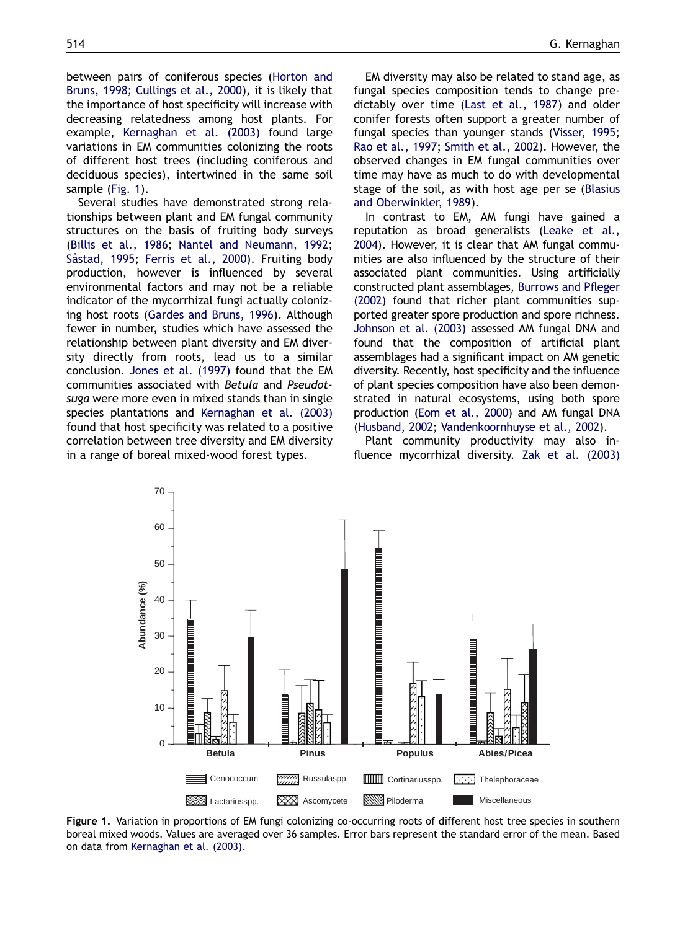between pairs of coniferous species [\(Horton and](#page-7-0) [Bruns, 1998;](#page-7-0) [Cullings et al., 2000](#page-6-0)), it is likely that the importance of host specificity will increase with decreasing relatedness among host plants. For example, [Kernaghan et al. \(2003\)](#page-8-0) found large variations in EM communities colonizing the roots of different host trees (including coniferous and deciduous species), intertwined in the same soil sample (Fig. 1).

Several studies have demonstrated strong relationships between plant and EM fungal community structures on the basis of fruiting body surveys [\(Billis et al., 1986](#page-6-0); [Nantel and Neumann, 1992](#page-8-0); [S](#page-8-0)å[stad, 1995](#page-8-0); [Ferris et al., 2000](#page-6-0)). Fruiting body production, however is influenced by several environmental factors and may not be a reliable indicator of the mycorrhizal fungi actually colonizing host roots [\(Gardes and Bruns, 1996](#page-7-0)). Although fewer in number, studies which have assessed the relationship between plant diversity and EM diversity directly from roots, lead us to a similar conclusion. [Jones et al. \(1997\)](#page-7-0) found that the EM communities associated with Betula and Pseudotsuga were more even in mixed stands than in single species plantations and [Kernaghan et al. \(2003\)](#page-8-0) found that host specificity was related to a positive correlation between tree diversity and EM diversity in a range of boreal mixed-wood forest types.

EM diversity may also be related to stand age, as fungal species composition tends to change predictably over time ([Last et al., 1987\)](#page-8-0) and older conifer forests often support a greater number of fungal species than younger stands ([Visser, 1995](#page-9-0); [Rao et al., 1997;](#page-8-0) [Smith et al., 2002\)](#page-9-0). However, the observed changes in EM fungal communities over time may have as much to do with developmental stage of the soil, as with host age per se [\(Blasius](#page-6-0) [and Oberwinkler, 1989\)](#page-6-0).

In contrast to EM, AM fungi have gained a reputation as broad generalists [\(Leake et al.,](#page-8-0) [2004](#page-8-0)). However, it is clear that AM fungal communities are also influenced by the structure of their associated plant communities. Using artificially constructed plant assemblages, [Burrows and Pfleger](#page-6-0) [\(2002\)](#page-6-0) found that richer plant communities supported greater spore production and spore richness. [Johnson et al. \(2003\)](#page-7-0) assessed AM fungal DNA and found that the composition of artificial plant assemblages had a significant impact on AM genetic diversity. Recently, host specificity and the influence of plant species composition have also been demonstrated in natural ecosystems, using both spore production ([Eom et al., 2000\)](#page-6-0) and AM fungal DNA [\(Husband, 2002](#page-7-0); [Vandenkoornhuyse et al., 2002](#page-9-0)).

Plant community productivity may also influence mycorrhizal diversity. [Zak et al. \(2003\)](#page-9-0)



Figure 1. Variation in proportions of EM fungi colonizing co-occurring roots of different host tree species in southern boreal mixed woods. Values are averaged over 36 samples. Error bars represent the standard error of the mean. Based on data from [Kernaghan et al. \(2003\).](#page-8-0)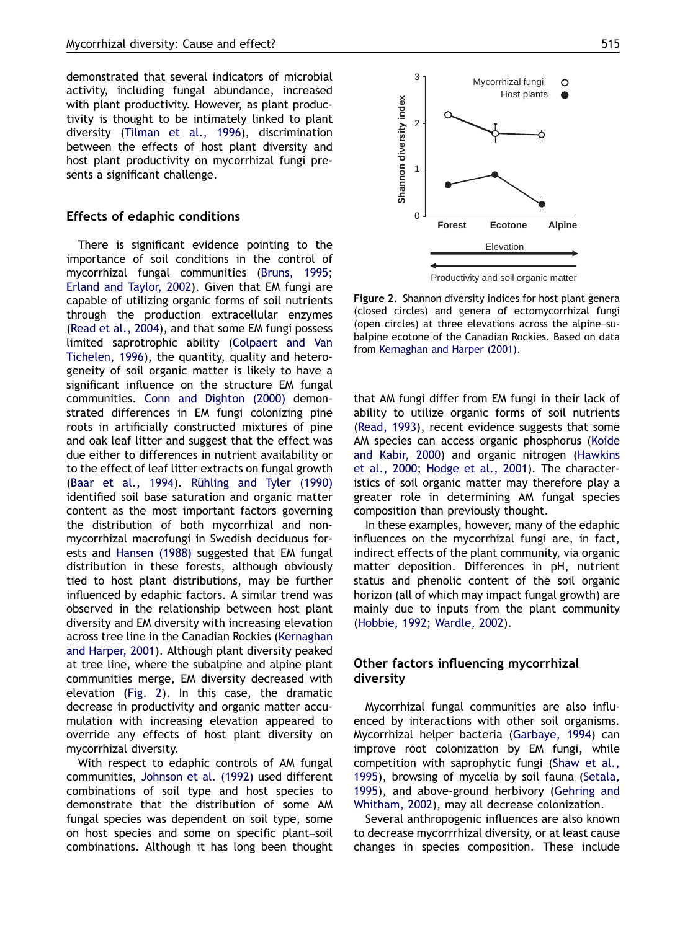demonstrated that several indicators of microbial activity, including fungal abundance, increased with plant productivity. However, as plant productivity is thought to be intimately linked to plant diversity [\(Tilman et al., 1996\)](#page-9-0), discrimination between the effects of host plant diversity and host plant productivity on mycorrhizal fungi presents a significant challenge.

#### Effects of edaphic conditions

There is significant evidence pointing to the importance of soil conditions in the control of mycorrhizal fungal communities ([Bruns, 1995](#page-6-0); [Erland and Taylor, 2002](#page-6-0)). Given that EM fungi are capable of utilizing organic forms of soil nutrients through the production extracellular enzymes [\(Read et al., 2004\)](#page-8-0), and that some EM fungi possess limited saprotrophic ability ([Colpaert and Van](#page-6-0) [Tichelen, 1996\)](#page-6-0), the quantity, quality and heterogeneity of soil organic matter is likely to have a significant influence on the structure EM fungal communities. [Conn and Dighton \(2000\)](#page-6-0) demonstrated differences in EM fungi colonizing pine roots in artificially constructed mixtures of pine and oak leaf litter and suggest that the effect was due either to differences in nutrient availability or to the effect of leaf litter extracts on fungal growth [\(Baar et al., 1994](#page-6-0)). Rühling and Tyler  $(1990)$ identified soil base saturation and organic matter content as the most important factors governing the distribution of both mycorrhizal and nonmycorrhizal macrofungi in Swedish deciduous forests and [Hansen \(1988\)](#page-7-0) suggested that EM fungal distribution in these forests, although obviously tied to host plant distributions, may be further influenced by edaphic factors. A similar trend was observed in the relationship between host plant diversity and EM diversity with increasing elevation across tree line in the Canadian Rockies ([Kernaghan](#page-8-0) [and Harper, 2001](#page-8-0)). Although plant diversity peaked at tree line, where the subalpine and alpine plant communities merge, EM diversity decreased with elevation (Fig. 2). In this case, the dramatic decrease in productivity and organic matter accumulation with increasing elevation appeared to override any effects of host plant diversity on mycorrhizal diversity.

With respect to edaphic controls of AM fungal communities, [Johnson et al. \(1992\)](#page-7-0) used different combinations of soil type and host species to demonstrate that the distribution of some AM fungal species was dependent on soil type, some on host species and some on specific plant–soil combinations. Although it has long been thought



Productivity and soil organic matter

Figure 2. Shannon diversity indices for host plant genera (closed circles) and genera of ectomycorrhizal fungi (open circles) at three elevations across the alpine–subalpine ecotone of the Canadian Rockies. Based on data from [Kernaghan and Harper \(2001\)](#page-8-0).

that AM fungi differ from EM fungi in their lack of ability to utilize organic forms of soil nutrients [\(Read, 1993](#page-8-0)), recent evidence suggests that some AM species can access organic phosphorus ([Koide](#page-8-0) [and Kabir, 2000\)](#page-8-0) and organic nitrogen ([Hawkins](#page-7-0) [et al., 2000;](#page-7-0) [Hodge et al., 2001](#page-7-0)). The characteristics of soil organic matter may therefore play a greater role in determining AM fungal species composition than previously thought.

In these examples, however, many of the edaphic influences on the mycorrhizal fungi are, in fact, indirect effects of the plant community, via organic matter deposition. Differences in pH, nutrient status and phenolic content of the soil organic horizon (all of which may impact fungal growth) are mainly due to inputs from the plant community [\(Hobbie, 1992](#page-7-0); [Wardle, 2002\)](#page-9-0).

## Other factors influencing mycorrhizal diversity

Mycorrhizal fungal communities are also influenced by interactions with other soil organisms. Mycorrhizal helper bacteria ([Garbaye, 1994](#page-7-0)) can improve root colonization by EM fungi, while competition with saprophytic fungi ([Shaw et al.,](#page-9-0) [1995\)](#page-9-0), browsing of mycelia by soil fauna ([Setala,](#page-9-0) [1995\)](#page-9-0), and above-ground herbivory ([Gehring and](#page-7-0) [Whitham, 2002\)](#page-7-0), may all decrease colonization.

Several anthropogenic influences are also known to decrease mycorrrhizal diversity, or at least cause changes in species composition. These include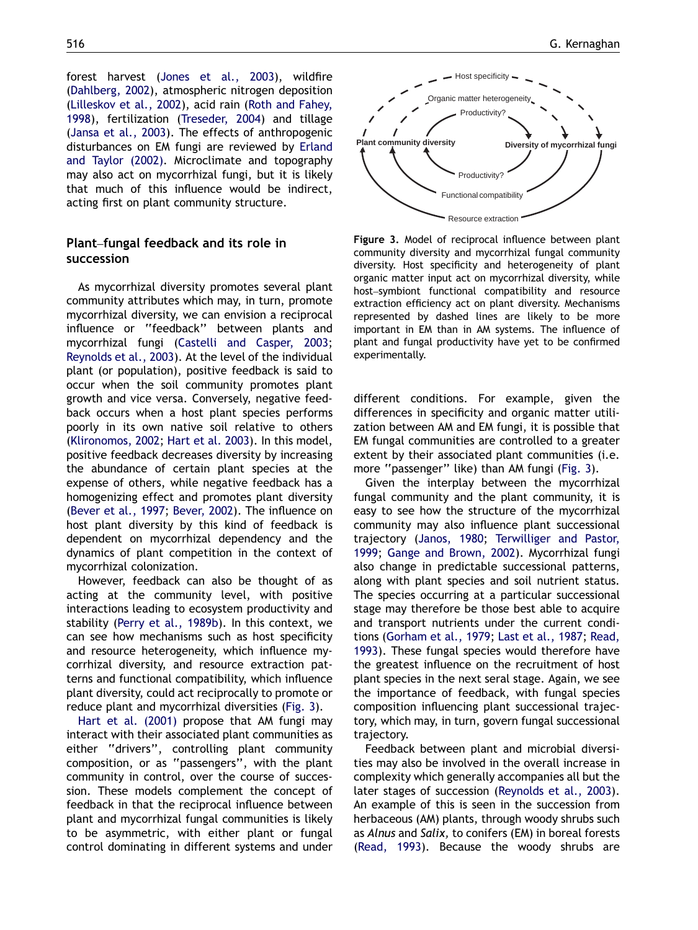forest harvest ([Jones et al., 2003](#page-7-0)), wildfire [\(Dahlberg, 2002\)](#page-6-0), atmospheric nitrogen deposition [\(Lilleskov et al., 2002\)](#page-8-0), acid rain ([Roth and Fahey,](#page-8-0) [1998](#page-8-0)), fertilization ([Treseder, 2004](#page-9-0)) and tillage [\(Jansa et al., 2003\)](#page-7-0). The effects of anthropogenic disturbances on EM fungi are reviewed by [Erland](#page-6-0) [and Taylor \(2002\)](#page-6-0). Microclimate and topography may also act on mycorrhizal fungi, but it is likely that much of this influence would be indirect, acting first on plant community structure.

## Plant–fungal feedback and its role in succession

As mycorrhizal diversity promotes several plant community attributes which may, in turn, promote mycorrhizal diversity, we can envision a reciprocal influence or ''feedback'' between plants and mycorrhizal fungi ([Castelli and Casper, 2003](#page-6-0); [Reynolds et al., 2003\)](#page-8-0). At the level of the individual plant (or population), positive feedback is said to occur when the soil community promotes plant growth and vice versa. Conversely, negative feedback occurs when a host plant species performs poorly in its own native soil relative to others [\(Klironomos, 2002](#page-8-0); [Hart et al. 2003\)](#page-7-0). In this model, positive feedback decreases diversity by increasing the abundance of certain plant species at the expense of others, while negative feedback has a homogenizing effect and promotes plant diversity [\(Bever et al., 1997;](#page-6-0) [Bever, 2002\)](#page-6-0). The influence on host plant diversity by this kind of feedback is dependent on mycorrhizal dependency and the dynamics of plant competition in the context of mycorrhizal colonization.

However, feedback can also be thought of as acting at the community level, with positive interactions leading to ecosystem productivity and stability [\(Perry et al., 1989b](#page-8-0)). In this context, we can see how mechanisms such as host specificity and resource heterogeneity, which influence mycorrhizal diversity, and resource extraction patterns and functional compatibility, which influence plant diversity, could act reciprocally to promote or reduce plant and mycorrhizal diversities (Fig. 3).

[Hart et al. \(2001\)](#page-7-0) propose that AM fungi may interact with their associated plant communities as either ''drivers'', controlling plant community composition, or as ''passengers'', with the plant community in control, over the course of succession. These models complement the concept of feedback in that the reciprocal influence between plant and mycorrhizal fungal communities is likely to be asymmetric, with either plant or fungal control dominating in different systems and under



Figure 3. Model of reciprocal influence between plant community diversity and mycorrhizal fungal community diversity. Host specificity and heterogeneity of plant organic matter input act on mycorrhizal diversity, while host–symbiont functional compatibility and resource extraction efficiency act on plant diversity. Mechanisms represented by dashed lines are likely to be more important in EM than in AM systems. The influence of plant and fungal productivity have yet to be confirmed experimentally.

different conditions. For example, given the differences in specificity and organic matter utilization between AM and EM fungi, it is possible that EM fungal communities are controlled to a greater extent by their associated plant communities (i.e. more "passenger" like) than AM fungi (Fig. 3).

Given the interplay between the mycorrhizal fungal community and the plant community, it is easy to see how the structure of the mycorrhizal community may also influence plant successional trajectory ([Janos, 1980;](#page-7-0) [Terwilliger and Pastor,](#page-9-0) [1999;](#page-9-0) [Gange and Brown, 2002\)](#page-7-0). Mycorrhizal fungi also change in predictable successional patterns, along with plant species and soil nutrient status. The species occurring at a particular successional stage may therefore be those best able to acquire and transport nutrients under the current conditions ([Gorham et al., 1979;](#page-7-0) [Last et al., 1987](#page-8-0); [Read,](#page-8-0) [1993\)](#page-8-0). These fungal species would therefore have the greatest influence on the recruitment of host plant species in the next seral stage. Again, we see the importance of feedback, with fungal species composition influencing plant successional trajectory, which may, in turn, govern fungal successional trajectory.

Feedback between plant and microbial diversities may also be involved in the overall increase in complexity which generally accompanies all but the later stages of succession [\(Reynolds et al., 2003\)](#page-8-0). An example of this is seen in the succession from herbaceous (AM) plants, through woody shrubs such as Alnus and Salix, to conifers (EM) in boreal forests [\(Read, 1993](#page-8-0)). Because the woody shrubs are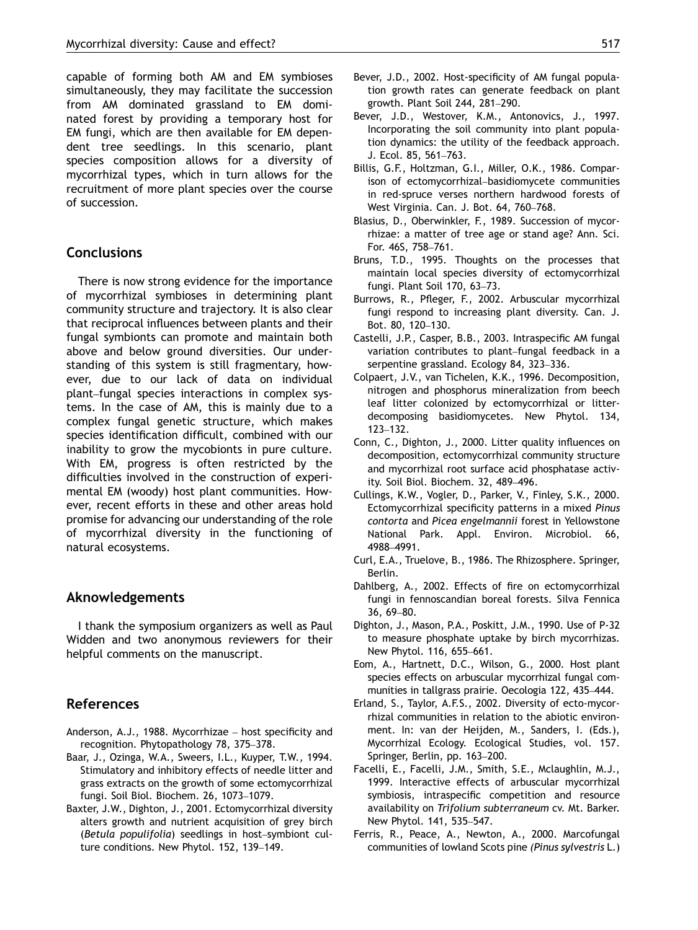<span id="page-6-0"></span>capable of forming both AM and EM symbioses simultaneously, they may facilitate the succession from AM dominated grassland to EM dominated forest by providing a temporary host for EM fungi, which are then available for EM dependent tree seedlings. In this scenario, plant species composition allows for a diversity of mycorrhizal types, which in turn allows for the recruitment of more plant species over the course of succession.

## **Conclusions**

There is now strong evidence for the importance of mycorrhizal symbioses in determining plant community structure and trajectory. It is also clear that reciprocal influences between plants and their fungal symbionts can promote and maintain both above and below ground diversities. Our understanding of this system is still fragmentary, however, due to our lack of data on individual plant–fungal species interactions in complex systems. In the case of AM, this is mainly due to a complex fungal genetic structure, which makes species identification difficult, combined with our inability to grow the mycobionts in pure culture. With EM, progress is often restricted by the difficulties involved in the construction of experimental EM (woody) host plant communities. However, recent efforts in these and other areas hold promise for advancing our understanding of the role of mycorrhizal diversity in the functioning of natural ecosystems.

## Aknowledgements

I thank the symposium organizers as well as Paul Widden and two anonymous reviewers for their helpful comments on the manuscript.

## References

- Anderson, A.J., 1988. Mycorrhizae host specificity and recognition. Phytopathology 78, 375–378.
- Baar, J., Ozinga, W.A., Sweers, I.L., Kuyper, T.W., 1994. Stimulatory and inhibitory effects of needle litter and grass extracts on the growth of some ectomycorrhizal fungi. Soil Biol. Biochem. 26, 1073–1079.
- Baxter, J.W., Dighton, J., 2001. Ectomycorrhizal diversity alters growth and nutrient acquisition of grey birch (Betula populifolia) seedlings in host–symbiont culture conditions. New Phytol. 152, 139–149.
- Bever, J.D., 2002. Host-specificity of AM fungal population growth rates can generate feedback on plant growth. Plant Soil 244, 281–290.
- Bever, J.D., Westover, K.M., Antonovics, J., 1997. Incorporating the soil community into plant population dynamics: the utility of the feedback approach. J. Ecol. 85, 561–763.
- Billis, G.F., Holtzman, G.I., Miller, O.K., 1986. Comparison of ectomycorrhizal–basidiomycete communities in red-spruce verses northern hardwood forests of West Virginia. Can. J. Bot. 64, 760–768.
- Blasius, D., Oberwinkler, F., 1989. Succession of mycorrhizae: a matter of tree age or stand age? Ann. Sci. For. 46S, 758–761.
- Bruns, T.D., 1995. Thoughts on the processes that maintain local species diversity of ectomycorrhizal fungi. Plant Soil 170, 63–73.
- Burrows, R., Pfleger, F., 2002. Arbuscular mycorrhizal fungi respond to increasing plant diversity. Can. J. Bot. 80, 120–130.
- Castelli, J.P., Casper, B.B., 2003. Intraspecific AM fungal variation contributes to plant–fungal feedback in a serpentine grassland. Ecology 84, 323–336.
- Colpaert, J.V., van Tichelen, K.K., 1996. Decomposition, nitrogen and phosphorus mineralization from beech leaf litter colonized by ectomycorrhizal or litterdecomposing basidiomycetes. New Phytol. 134, 123–132.
- Conn, C., Dighton, J., 2000. Litter quality influences on decomposition, ectomycorrhizal community structure and mycorrhizal root surface acid phosphatase activity. Soil Biol. Biochem. 32, 489–496.
- Cullings, K.W., Vogler, D., Parker, V., Finley, S.K., 2000. Ectomycorrhizal specificity patterns in a mixed Pinus contorta and Picea engelmannii forest in Yellowstone National Park. Appl. Environ. Microbiol. 66, 4988–4991.
- Curl, E.A., Truelove, B., 1986. The Rhizosphere. Springer, Berlin.
- Dahlberg, A., 2002. Effects of fire on ectomycorrhizal fungi in fennoscandian boreal forests. Silva Fennica 36, 69–80.
- Dighton, J., Mason, P.A., Poskitt, J.M., 1990. Use of P-32 to measure phosphate uptake by birch mycorrhizas. New Phytol. 116, 655–661.
- Eom, A., Hartnett, D.C., Wilson, G., 2000. Host plant species effects on arbuscular mycorrhizal fungal communities in tallgrass prairie. Oecologia 122, 435–444.
- Erland, S., Taylor, A.F.S., 2002. Diversity of ecto-mycorrhizal communities in relation to the abiotic environment. In: van der Heijden, M., Sanders, I. (Eds.), Mycorrhizal Ecology. Ecological Studies, vol. 157. Springer, Berlin, pp. 163–200.
- Facelli, E., Facelli, J.M., Smith, S.E., Mclaughlin, M.J., 1999. Interactive effects of arbuscular mycorrhizal symbiosis, intraspecific competition and resource availability on Trifolium subterraneum cv. Mt. Barker. New Phytol. 141, 535–547.
- Ferris, R., Peace, A., Newton, A., 2000. Marcofungal communities of lowland Scots pine (Pinus sylvestris L.)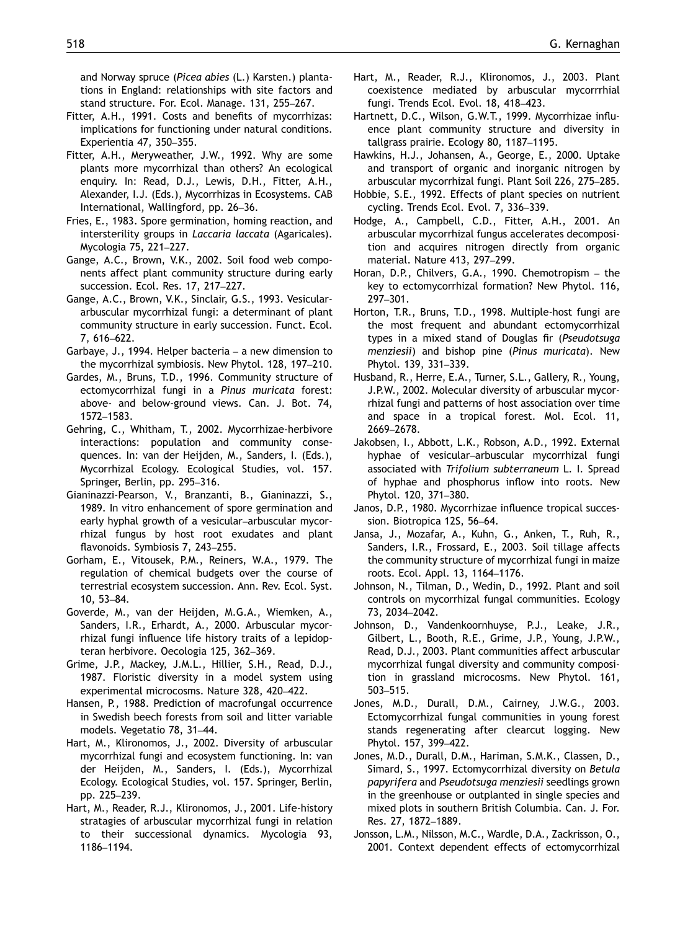<span id="page-7-0"></span>and Norway spruce (Picea abies (L.) Karsten.) plantations in England: relationships with site factors and stand structure. For. Ecol. Manage. 131, 255–267.

- Fitter, A.H., 1991. Costs and benefits of mycorrhizas: implications for functioning under natural conditions. Experientia 47, 350–355.
- Fitter, A.H., Meryweather, J.W., 1992. Why are some plants more mycorrhizal than others? An ecological enquiry. In: Read, D.J., Lewis, D.H., Fitter, A.H., Alexander, I.J. (Eds.), Mycorrhizas in Ecosystems. CAB International, Wallingford, pp. 26–36.
- Fries, E., 1983. Spore germination, homing reaction, and intersterility groups in Laccaria laccata (Agaricales). Mycologia 75, 221–227.
- Gange, A.C., Brown, V.K., 2002. Soil food web components affect plant community structure during early succession. Ecol. Res. 17, 217–227.
- Gange, A.C., Brown, V.K., Sinclair, G.S., 1993. Vesiculararbuscular mycorrhizal fungi: a determinant of plant community structure in early succession. Funct. Ecol. 7, 616–622.
- Garbaye, J., 1994. Helper bacteria a new dimension to the mycorrhizal symbiosis. New Phytol. 128, 197–210.
- Gardes, M., Bruns, T.D., 1996. Community structure of ectomycorrhizal fungi in a Pinus muricata forest: above- and below-ground views. Can. J. Bot. 74, 1572–1583.
- Gehring, C., Whitham, T., 2002. Mycorrhizae-herbivore interactions: population and community consequences. In: van der Heijden, M., Sanders, I. (Eds.), Mycorrhizal Ecology. Ecological Studies, vol. 157. Springer, Berlin, pp. 295–316.
- Gianinazzi-Pearson, V., Branzanti, B., Gianinazzi, S., 1989. In vitro enhancement of spore germination and early hyphal growth of a vesicular–arbuscular mycorrhizal fungus by host root exudates and plant flavonoids. Symbiosis 7, 243–255.
- Gorham, E., Vitousek, P.M., Reiners, W.A., 1979. The regulation of chemical budgets over the course of terrestrial ecosystem succession. Ann. Rev. Ecol. Syst. 10, 53–84.
- Goverde, M., van der Heijden, M.G.A., Wiemken, A., Sanders, I.R., Erhardt, A., 2000. Arbuscular mycorrhizal fungi influence life history traits of a lepidopteran herbivore. Oecologia 125, 362–369.
- Grime, J.P., Mackey, J.M.L., Hillier, S.H., Read, D.J., 1987. Floristic diversity in a model system using experimental microcosms. Nature 328, 420–422.
- Hansen, P., 1988. Prediction of macrofungal occurrence in Swedish beech forests from soil and litter variable models. Vegetatio 78, 31–44.
- Hart, M., Klironomos, J., 2002. Diversity of arbuscular mycorrhizal fungi and ecosystem functioning. In: van der Heijden, M., Sanders, I. (Eds.), Mycorrhizal Ecology. Ecological Studies, vol. 157. Springer, Berlin, pp. 225–239.
- Hart, M., Reader, R.J., Klironomos, J., 2001. Life-history stratagies of arbuscular mycorrhizal fungi in relation to their successional dynamics. Mycologia 93, 1186–1194.
- Hart, M., Reader, R.J., Klironomos, J., 2003. Plant coexistence mediated by arbuscular mycorrrhial fungi. Trends Ecol. Evol. 18, 418–423.
- Hartnett, D.C., Wilson, G.W.T., 1999. Mycorrhizae influence plant community structure and diversity in tallgrass prairie. Ecology 80, 1187–1195.
- Hawkins, H.J., Johansen, A., George, E., 2000. Uptake and transport of organic and inorganic nitrogen by arbuscular mycorrhizal fungi. Plant Soil 226, 275–285.
- Hobbie, S.E., 1992. Effects of plant species on nutrient cycling. Trends Ecol. Evol. 7, 336–339.
- Hodge, A., Campbell, C.D., Fitter, A.H., 2001. An arbuscular mycorrhizal fungus accelerates decomposition and acquires nitrogen directly from organic material. Nature 413, 297–299.
- Horan, D.P., Chilvers, G.A., 1990. Chemotropism the key to ectomycorrhizal formation? New Phytol. 116, 297–301.
- Horton, T.R., Bruns, T.D., 1998. Multiple-host fungi are the most frequent and abundant ectomycorrhizal types in a mixed stand of Douglas fir (Pseudotsuga menziesii) and bishop pine (Pinus muricata). New Phytol. 139, 331–339.
- Husband, R., Herre, E.A., Turner, S.L., Gallery, R., Young, J.P.W., 2002. Molecular diversity of arbuscular mycorrhizal fungi and patterns of host association over time and space in a tropical forest. Mol. Ecol. 11, 2669–2678.
- Jakobsen, I., Abbott, L.K., Robson, A.D., 1992. External hyphae of vesicular–arbuscular mycorrhizal fungi associated with Trifolium subterraneum L. I. Spread of hyphae and phosphorus inflow into roots. New Phytol. 120, 371–380.
- Janos, D.P., 1980. Mycorrhizae influence tropical succession. Biotropica 12S, 56–64.
- Jansa, J., Mozafar, A., Kuhn, G., Anken, T., Ruh, R., Sanders, I.R., Frossard, E., 2003. Soil tillage affects the community structure of mycorrhizal fungi in maize roots. Ecol. Appl. 13, 1164–1176.
- Johnson, N., Tilman, D., Wedin, D., 1992. Plant and soil controls on mycorrhizal fungal communities. Ecology 73, 2034–2042.
- Johnson, D., Vandenkoornhuyse, P.J., Leake, J.R., Gilbert, L., Booth, R.E., Grime, J.P., Young, J.P.W., Read, D.J., 2003. Plant communities affect arbuscular mycorrhizal fungal diversity and community composition in grassland microcosms. New Phytol. 161, 503–515.
- Jones, M.D., Durall, D.M., Cairney, J.W.G., 2003. Ectomycorrhizal fungal communities in young forest stands regenerating after clearcut logging. New Phytol. 157, 399–422.
- Jones, M.D., Durall, D.M., Hariman, S.M.K., Classen, D., Simard, S., 1997. Ectomycorrhizal diversity on Betula papyrifera and Pseudotsuga menziesii seedlings grown in the greenhouse or outplanted in single species and mixed plots in southern British Columbia. Can. J. For. Res. 27, 1872–1889.
- Jonsson, L.M., Nilsson, M.C., Wardle, D.A., Zackrisson, O., 2001. Context dependent effects of ectomycorrhizal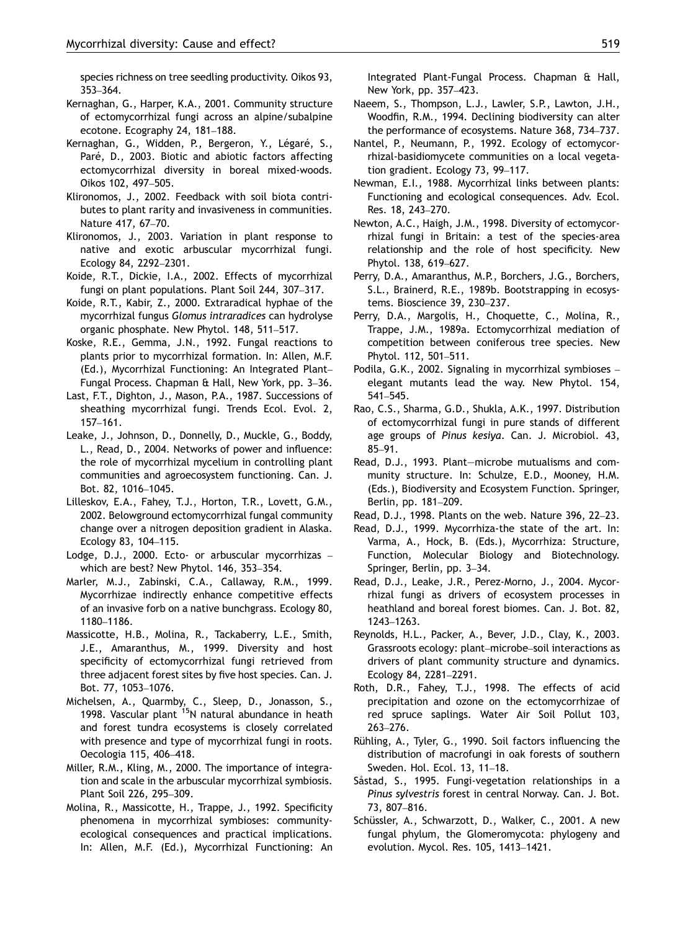<span id="page-8-0"></span>species richness on tree seedling productivity. Oikos 93, 353–364.

- Kernaghan, G., Harper, K.A., 2001. Community structure of ectomycorrhizal fungi across an alpine/subalpine ecotone. Ecography 24, 181–188.
- Kernaghan, G., Widden, P., Bergeron, Y., Légaré, S., Paré, D., 2003. Biotic and abiotic factors affecting ectomycorrhizal diversity in boreal mixed-woods. Oikos 102, 497–505.
- Klironomos, J., 2002. Feedback with soil biota contributes to plant rarity and invasiveness in communities. Nature 417, 67–70.
- Klironomos, J., 2003. Variation in plant response to native and exotic arbuscular mycorrhizal fungi. Ecology 84, 2292–2301.
- Koide, R.T., Dickie, I.A., 2002. Effects of mycorrhizal fungi on plant populations. Plant Soil 244, 307–317.
- Koide, R.T., Kabir, Z., 2000. Extraradical hyphae of the mycorrhizal fungus Glomus intraradices can hydrolyse organic phosphate. New Phytol. 148, 511–517.
- Koske, R.E., Gemma, J.N., 1992. Fungal reactions to plants prior to mycorrhizal formation. In: Allen, M.F. (Ed.), Mycorrhizal Functioning: An Integrated Plant– Fungal Process. Chapman & Hall, New York, pp. 3–36.
- Last, F.T., Dighton, J., Mason, P.A., 1987. Successions of sheathing mycorrhizal fungi. Trends Ecol. Evol. 2, 157–161.
- Leake, J., Johnson, D., Donnelly, D., Muckle, G., Boddy, L., Read, D., 2004. Networks of power and influence: the role of mycorrhizal mycelium in controlling plant communities and agroecosystem functioning. Can. J. Bot. 82, 1016–1045.
- Lilleskov, E.A., Fahey, T.J., Horton, T.R., Lovett, G.M., 2002. Belowground ectomycorrhizal fungal community change over a nitrogen deposition gradient in Alaska. Ecology 83, 104–115.
- Lodge, D.J., 2000. Ecto- or arbuscular mycorrhizas which are best? New Phytol. 146, 353–354.
- Marler, M.J., Zabinski, C.A., Callaway, R.M., 1999. Mycorrhizae indirectly enhance competitive effects of an invasive forb on a native bunchgrass. Ecology 80, 1180–1186.
- Massicotte, H.B., Molina, R., Tackaberry, L.E., Smith, J.E., Amaranthus, M., 1999. Diversity and host specificity of ectomycorrhizal fungi retrieved from three adjacent forest sites by five host species. Can. J. Bot. 77, 1053–1076.
- Michelsen, A., Quarmby, C., Sleep, D., Jonasson, S., 1998. Vascular plant <sup>15</sup>N natural abundance in heath and forest tundra ecosystems is closely correlated with presence and type of mycorrhizal fungi in roots. Oecologia 115, 406–418.
- Miller, R.M., Kling, M., 2000. The importance of integration and scale in the arbuscular mycorrhizal symbiosis. Plant Soil 226, 295–309.
- Molina, R., Massicotte, H., Trappe, J., 1992. Specificity phenomena in mycorrhizal symbioses: communityecological consequences and practical implications. In: Allen, M.F. (Ed.), Mycorrhizal Functioning: An

Integrated Plant-Fungal Process. Chapman & Hall, New York, pp. 357–423.

- Naeem, S., Thompson, L.J., Lawler, S.P., Lawton, J.H., Woodfin, R.M., 1994. Declining biodiversity can alter the performance of ecosystems. Nature 368, 734–737.
- Nantel, P., Neumann, P., 1992. Ecology of ectomycorrhizal-basidiomycete communities on a local vegetation gradient. Ecology 73, 99–117.
- Newman, E.I., 1988. Mycorrhizal links between plants: Functioning and ecological consequences. Adv. Ecol. Res. 18, 243–270.
- Newton, A.C., Haigh, J.M., 1998. Diversity of ectomycorrhizal fungi in Britain: a test of the species-area relationship and the role of host specificity. New Phytol. 138, 619–627.
- Perry, D.A., Amaranthus, M.P., Borchers, J.G., Borchers, S.L., Brainerd, R.E., 1989b. Bootstrapping in ecosystems. Bioscience 39, 230–237.
- Perry, D.A., Margolis, H., Choquette, C., Molina, R., Trappe, J.M., 1989a. Ectomycorrhizal mediation of competition between coniferous tree species. New Phytol. 112, 501–511.
- Podila, G.K., 2002. Signaling in mycorrhizal symbioses elegant mutants lead the way. New Phytol. 154, 541–545.
- Rao, C.S., Sharma, G.D., Shukla, A.K., 1997. Distribution of ectomycorrhizal fungi in pure stands of different age groups of Pinus kesiya. Can. J. Microbiol. 43, 85–91.
- Read, D.J., 1993. Plant—microbe mutualisms and community structure. In: Schulze, E.D., Mooney, H.M. (Eds.), Biodiversity and Ecosystem Function. Springer, Berlin, pp. 181–209.
- Read, D.J., 1998. Plants on the web. Nature 396, 22–23.
- Read, D.J., 1999. Mycorrhiza-the state of the art. In: Varma, A., Hock, B. (Eds.), Mycorrhiza: Structure, Function, Molecular Biology and Biotechnology. Springer, Berlin, pp. 3–34.
- Read, D.J., Leake, J.R., Perez-Morno, J., 2004. Mycorrhizal fungi as drivers of ecosystem processes in heathland and boreal forest biomes. Can. J. Bot. 82, 1243–1263.
- Reynolds, H.L., Packer, A., Bever, J.D., Clay, K., 2003. Grassroots ecology: plant–microbe–soil interactions as drivers of plant community structure and dynamics. Ecology 84, 2281–2291.
- Roth, D.R., Fahey, T.J., 1998. The effects of acid precipitation and ozone on the ectomycorrhizae of red spruce saplings. Water Air Soil Pollut 103, 263–276.
- Rühling, A., Tyler, G., 1990. Soil factors influencing the distribution of macrofungi in oak forests of southern Sweden. Hol. Ecol. 13, 11–18.
- Såstad, S., 1995. Fungi-vegetation relationships in a Pinus sylvestris forest in central Norway. Can. J. Bot. 73, 807–816.
- Schüssler, A., Schwarzott, D., Walker, C., 2001. A new fungal phylum, the Glomeromycota: phylogeny and evolution. Mycol. Res. 105, 1413–1421.